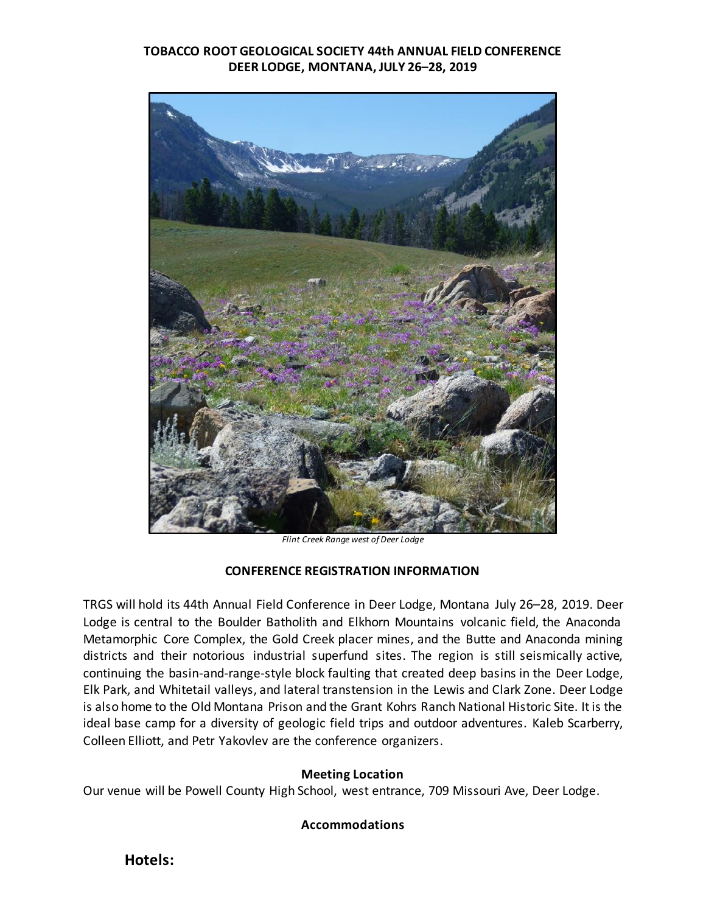### **TOBACCO ROOT GEOLOGICAL SOCIETY 44th ANNUAL FIELD CONFERENCE DEER LODGE, MONTANA, JULY 26–28, 2019**



*Flint Creek Range west of Deer Lodge*

#### **CONFERENCE REGISTRATION INFORMATION**

TRGS will hold its 44th Annual Field Conference in Deer Lodge, Montana July 26–28, 2019. Deer Lodge is central to the Boulder Batholith and Elkhorn Mountains volcanic field, the Anaconda Metamorphic Core Complex, the Gold Creek placer mines, and the Butte and Anaconda mining districts and their notorious industrial superfund sites. The region is still seismically active, continuing the basin-and-range-style block faulting that created deep basins in the Deer Lodge, Elk Park, and Whitetail valleys, and lateral transtension in the Lewis and Clark Zone. Deer Lodge is also home to the Old Montana Prison and the Grant Kohrs Ranch National Historic Site. It is the ideal base camp for a diversity of geologic field trips and outdoor adventures. Kaleb Scarberry, Colleen Elliott, and Petr Yakovlev are the conference organizers.

#### **Meeting Location**

Our venue will be Powell County High School, west entrance, 709 Missouri Ave, Deer Lodge.

#### **Accommodations**

**Hotels:**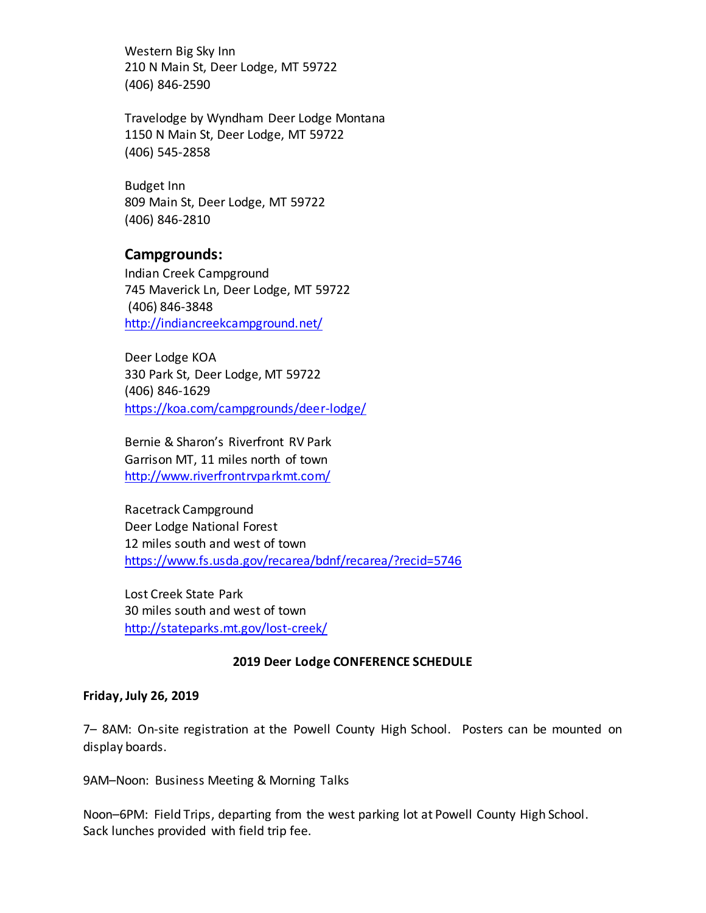Western Big Sky Inn 210 N Main St, Deer Lodge, MT 59722 (406) 846-2590

Travelodge by Wyndham Deer Lodge Montana 1150 N Main St, Deer Lodge, MT 59722 (406) 545-2858

Budget Inn 809 Main St, Deer Lodge, MT 59722 (406) 846-2810

## **Campgrounds:**

Indian Creek Campground 745 Maverick Ln, Deer Lodge, MT 59722 (406) 846-3848 <http://indiancreekcampground.net/>

Deer Lodge KOA 330 Park St, Deer Lodge, MT 59722 (406) 846-1629 <https://koa.com/campgrounds/deer-lodge/>

Bernie & Sharon's Riverfront RV Park Garrison MT, 11 miles north of town <http://www.riverfrontrvparkmt.com/>

Racetrack Campground Deer Lodge National Forest 12 miles south and west of town <https://www.fs.usda.gov/recarea/bdnf/recarea/?recid=5746>

Lost Creek State Park 30 miles south and west of town <http://stateparks.mt.gov/lost-creek/>

### **2019 Deer Lodge CONFERENCE SCHEDULE**

#### **Friday, July 26, 2019**

7– 8AM: On-site registration at the Powell County High School. Posters can be mounted on display boards.

9AM–Noon: Business Meeting & Morning Talks

Noon–6PM: Field Trips, departing from the west parking lot at Powell County High School. Sack lunches provided with field trip fee.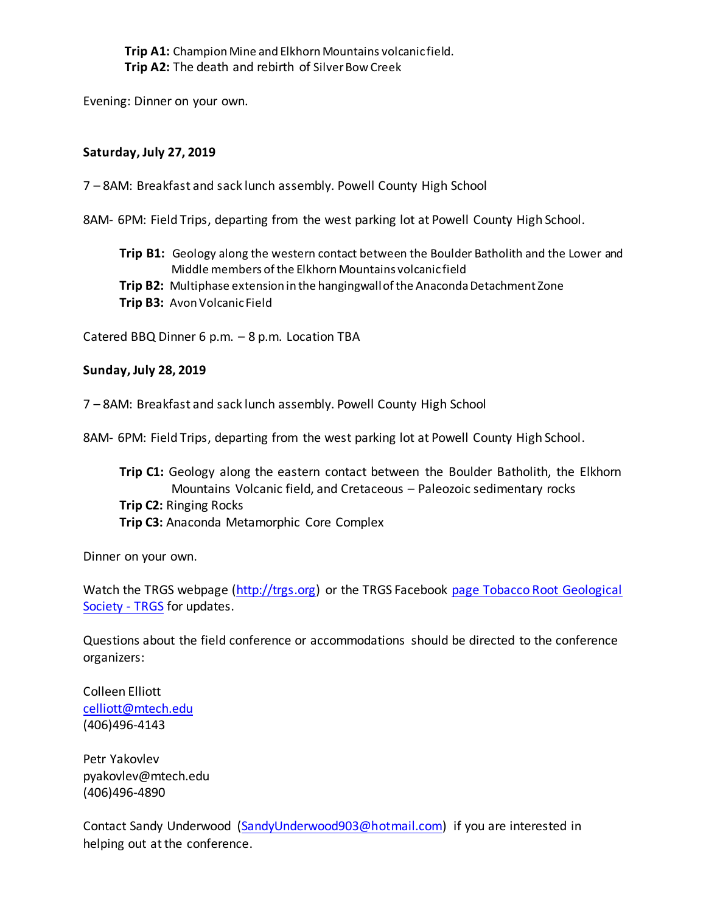**Trip A1:** Champion Mine and Elkhorn Mountains volcanic field. **Trip A2:** The death and rebirth of Silver Bow Creek

Evening: Dinner on your own.

#### **Saturday, July 27, 2019**

7 – 8AM: Breakfast and sack lunch assembly. Powell County High School

8AM- 6PM: Field Trips, departing from the west parking lot at Powell County High School.

- **Trip B1:** Geology along the western contact between the Boulder Batholith and the Lower and Middle members of the Elkhorn Mountains volcanic field
- **Trip B2:** Multiphase extension in the hangingwall of the Anaconda Detachment Zone
- **Trip B3:** Avon Volcanic Field

Catered BBQ Dinner 6 p.m. – 8 p.m. Location TBA

#### **Sunday, July 28, 2019**

7 – 8AM: Breakfast and sack lunch assembly. Powell County High School

8AM- 6PM: Field Trips, departing from the west parking lot at Powell County High School.

**Trip C1:** Geology along the eastern contact between the Boulder Batholith, the Elkhorn Mountains Volcanic field, and Cretaceous – Paleozoic sedimentary rocks **Trip C2:** Ringing Rocks **Trip C3:** Anaconda Metamorphic Core Complex

Dinner on your own.

Watch the TRGS webpage [\(http://trgs.org\)](http://trgs.org/) or the TRGS Facebook page Tobacco Root Geological [Society -](https://www.facebook.com/Tobacco-Root-Geological-Society-TRGS-122679619013/?ref=br_rs) TRGS for updates.

Questions about the field conference or accommodations should be directed to the conference organizers:

Colleen Elliott [celliott@mtech.edu](mailto:celliott@mtech.edu) (406)496-4143

Petr Yakovlev pyakovlev@mtech.edu (406)496-4890

Contact Sandy Underwood [\(SandyUnderwood903@hotmail.com\)](mailto:SandyUnderwood903@hotmail.com) if you are interested in helping out at the conference.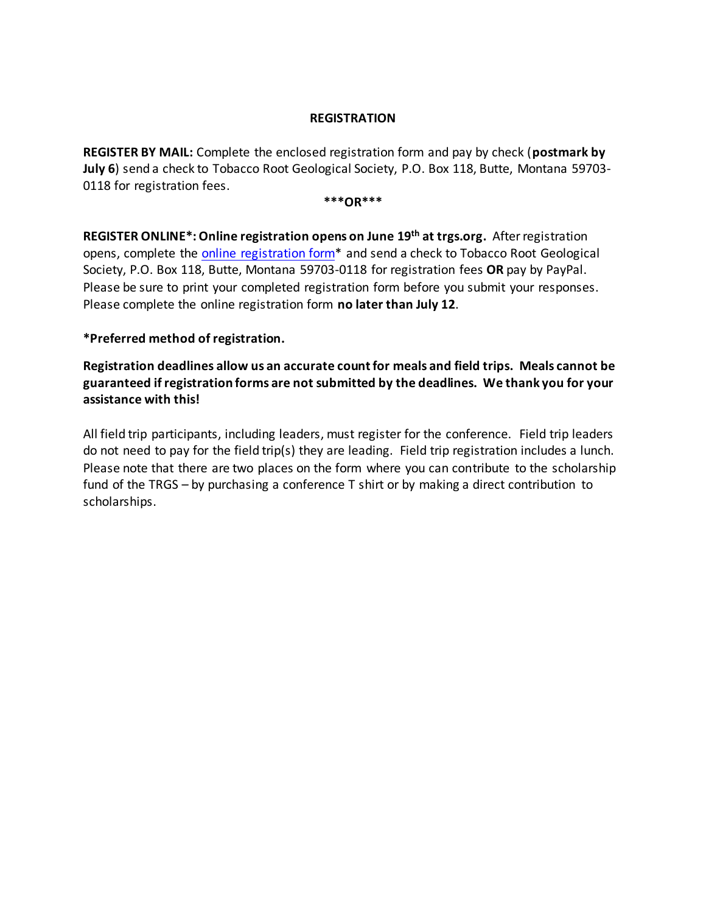#### **REGISTRATION**

**REGISTER BY MAIL:** Complete the enclosed registration form and pay by check (**postmark by July 6**) send a check to Tobacco Root Geological Society, P.O. Box 118, Butte, Montana 59703- 0118 for registration fees.

**\*\*\*OR\*\*\***

**REGISTER ONLINE\*: Online registration opens on June 19 th at trgs.org.** After registration opens, complete the online registration form\* and send a check to Tobacco Root Geological Society, P.O. Box 118, Butte, Montana 59703-0118 for registration fees **OR** pay by PayPal. Please be sure to print your completed registration form before you submit your responses. Please complete the online registration form **no later than July 12**.

### **\*Preferred method of registration.**

**Registration deadlines allow us an accurate count for meals and field trips. Meals cannot be guaranteed if registration forms are not submitted by the deadlines. We thank you for your assistance with this!**

All field trip participants, including leaders, must register for the conference. Field trip leaders do not need to pay for the field trip(s) they are leading. Field trip registration includes a lunch. Please note that there are two places on the form where you can contribute to the scholarship fund of the TRGS – by purchasing a conference T shirt or by making a direct contribution to scholarships.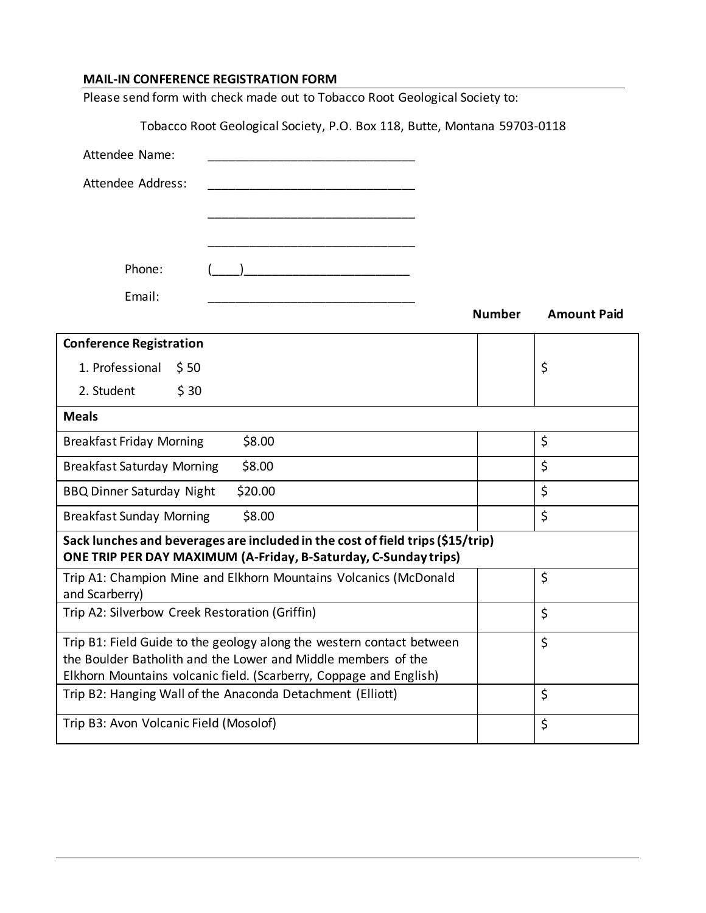## **MAIL-IN CONFERENCE REGISTRATION FORM**

| Please send form with check made out to Tobacco Root Geological Society to:                                                                                                                                  |               |                    |  |  |
|--------------------------------------------------------------------------------------------------------------------------------------------------------------------------------------------------------------|---------------|--------------------|--|--|
| Tobacco Root Geological Society, P.O. Box 118, Butte, Montana 59703-0118                                                                                                                                     |               |                    |  |  |
| Attendee Name:                                                                                                                                                                                               |               |                    |  |  |
| Attendee Address:                                                                                                                                                                                            |               |                    |  |  |
|                                                                                                                                                                                                              |               |                    |  |  |
|                                                                                                                                                                                                              |               |                    |  |  |
| Phone:                                                                                                                                                                                                       |               |                    |  |  |
| Email:                                                                                                                                                                                                       | <b>Number</b> | <b>Amount Paid</b> |  |  |
| <b>Conference Registration</b>                                                                                                                                                                               |               |                    |  |  |
| 1. Professional<br>\$50                                                                                                                                                                                      |               | \$                 |  |  |
| 2. Student<br>\$30                                                                                                                                                                                           |               |                    |  |  |
| <b>Meals</b>                                                                                                                                                                                                 |               |                    |  |  |
| <b>Breakfast Friday Morning</b><br>\$8.00                                                                                                                                                                    |               | \$                 |  |  |
| <b>Breakfast Saturday Morning</b><br>\$8.00                                                                                                                                                                  |               | \$                 |  |  |
| <b>BBQ Dinner Saturday Night</b><br>\$20.00                                                                                                                                                                  |               | \$                 |  |  |
| <b>Breakfast Sunday Morning</b><br>\$8.00                                                                                                                                                                    |               | \$                 |  |  |
| Sack lunches and beverages are included in the cost of field trips (\$15/trip)<br>ONE TRIP PER DAY MAXIMUM (A-Friday, B-Saturday, C-Sunday trips)                                                            |               |                    |  |  |
| Trip A1: Champion Mine and Elkhorn Mountains Volcanics (McDonald<br>and Scarberry)                                                                                                                           |               | \$                 |  |  |
| Trip A2: Silverbow Creek Restoration (Griffin)                                                                                                                                                               |               | \$                 |  |  |
| Trip B1: Field Guide to the geology along the western contact between<br>the Boulder Batholith and the Lower and Middle members of the<br>Elkhorn Mountains volcanic field. (Scarberry, Coppage and English) |               | \$                 |  |  |
| Trip B2: Hanging Wall of the Anaconda Detachment (Elliott)                                                                                                                                                   |               | \$                 |  |  |
| Trip B3: Avon Volcanic Field (Mosolof)                                                                                                                                                                       |               | \$                 |  |  |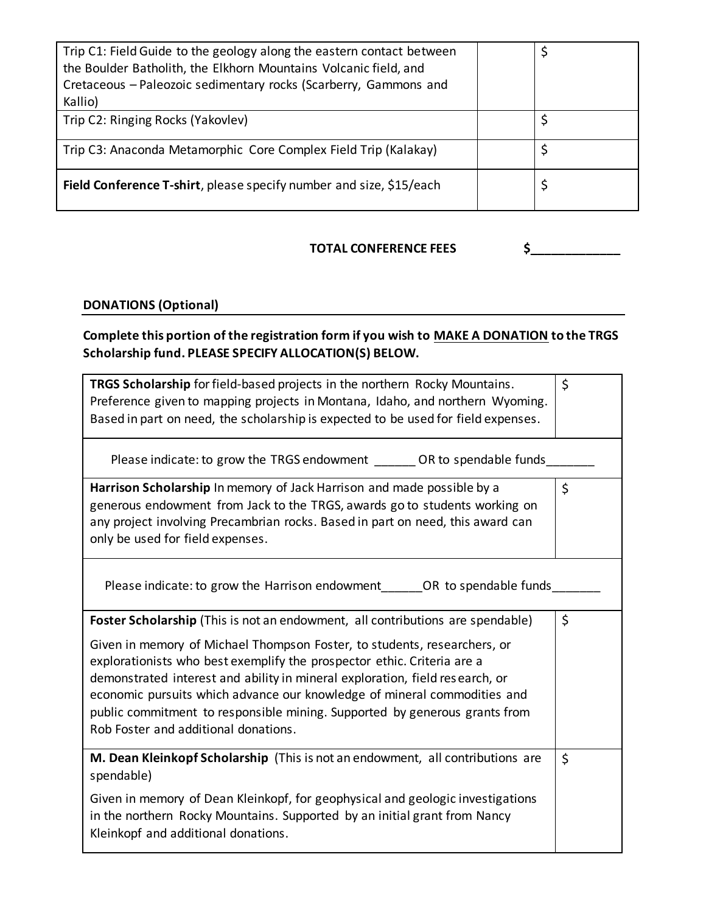| Trip C1: Field Guide to the geology along the eastern contact between<br>the Boulder Batholith, the Elkhorn Mountains Volcanic field, and<br>Cretaceous - Paleozoic sedimentary rocks (Scarberry, Gammons and |  |
|---------------------------------------------------------------------------------------------------------------------------------------------------------------------------------------------------------------|--|
| Kallio)                                                                                                                                                                                                       |  |
| Trip C2: Ringing Rocks (Yakovlev)                                                                                                                                                                             |  |
| Trip C3: Anaconda Metamorphic Core Complex Field Trip (Kalakay)                                                                                                                                               |  |
| Field Conference T-shirt, please specify number and size, \$15/each                                                                                                                                           |  |

### **TOTAL CONFERENCE FEES**  $\begin{matrix} 5 \end{matrix}$

## **DONATIONS (Optional)**

# **Complete this portion of the registration form if you wish to MAKE A DONATION to the TRGS Scholarship fund. PLEASE SPECIFY ALLOCATION(S) BELOW.**

| <b>TRGS Scholarship</b> for field-based projects in the northern Rocky Mountains.<br>Preference given to mapping projects in Montana, Idaho, and northern Wyoming.<br>Based in part on need, the scholarship is expected to be used for field expenses.                                                                                                                                                                                                                                                                 | \$ |
|-------------------------------------------------------------------------------------------------------------------------------------------------------------------------------------------------------------------------------------------------------------------------------------------------------------------------------------------------------------------------------------------------------------------------------------------------------------------------------------------------------------------------|----|
| Please indicate: to grow the TRGS endowment OR to spendable funds                                                                                                                                                                                                                                                                                                                                                                                                                                                       |    |
| Harrison Scholarship In memory of Jack Harrison and made possible by a<br>generous endowment from Jack to the TRGS, awards go to students working on<br>any project involving Precambrian rocks. Based in part on need, this award can<br>only be used for field expenses.                                                                                                                                                                                                                                              | \$ |
| Please indicate: to grow the Harrison endowment OR to spendable funds                                                                                                                                                                                                                                                                                                                                                                                                                                                   |    |
| Foster Scholarship (This is not an endowment, all contributions are spendable)<br>Given in memory of Michael Thompson Foster, to students, researchers, or<br>explorationists who best exemplify the prospector ethic. Criteria are a<br>demonstrated interest and ability in mineral exploration, field research, or<br>economic pursuits which advance our knowledge of mineral commodities and<br>public commitment to responsible mining. Supported by generous grants from<br>Rob Foster and additional donations. | \$ |
| M. Dean Kleinkopf Scholarship (This is not an endowment, all contributions are<br>spendable)<br>Given in memory of Dean Kleinkopf, for geophysical and geologic investigations<br>in the northern Rocky Mountains. Supported by an initial grant from Nancy<br>Kleinkopf and additional donations.                                                                                                                                                                                                                      | \$ |